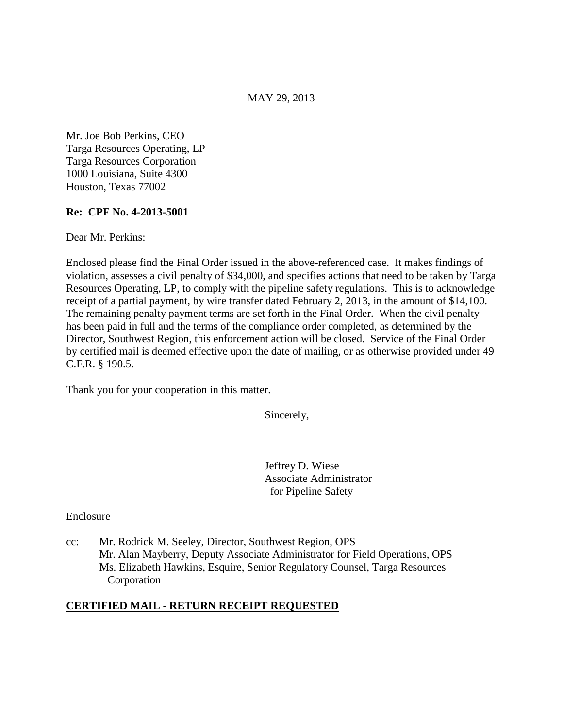## MAY 29, 2013

Mr. Joe Bob Perkins, CEO Targa Resources Operating, LP Targa Resources Corporation 1000 Louisiana, Suite 4300 Houston, Texas 77002

## **Re: CPF No. 4-2013-5001**

Dear Mr. Perkins:

Enclosed please find the Final Order issued in the above-referenced case. It makes findings of violation, assesses a civil penalty of \$34,000, and specifies actions that need to be taken by Targa Resources Operating, LP, to comply with the pipeline safety regulations. This is to acknowledge receipt of a partial payment, by wire transfer dated February 2, 2013, in the amount of \$14,100. The remaining penalty payment terms are set forth in the Final Order. When the civil penalty has been paid in full and the terms of the compliance order completed, as determined by the Director, Southwest Region, this enforcement action will be closed. Service of the Final Order by certified mail is deemed effective upon the date of mailing, or as otherwise provided under 49 C.F.R. § 190.5.

Thank you for your cooperation in this matter.

Sincerely,

Jeffrey D. Wiese Associate Administrator for Pipeline Safety

Enclosure

cc: Mr. Rodrick M. Seeley, Director, Southwest Region, OPS Mr. Alan Mayberry, Deputy Associate Administrator for Field Operations, OPS Ms. Elizabeth Hawkins, Esquire, Senior Regulatory Counsel, Targa Resources Corporation

# **CERTIFIED MAIL - RETURN RECEIPT REQUESTED**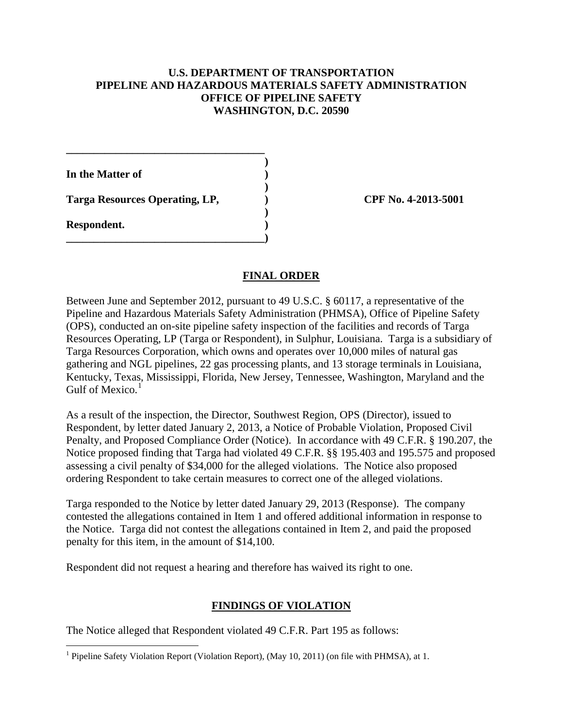## **U.S. DEPARTMENT OF TRANSPORTATION PIPELINE AND HAZARDOUS MATERIALS SAFETY ADMINISTRATION OFFICE OF PIPELINE SAFETY WASHINGTON, D.C. 20590**

**In the Matter of )** 

 **)**  Targa Resources Operating, LP,  $\qquad \qquad$  OPF No. 4-2013-5001

**\_\_\_\_\_\_\_\_\_\_\_\_\_\_\_\_\_\_\_\_\_\_\_\_\_\_\_\_\_\_\_\_\_\_\_\_ )** 

 **)** 

**\_\_\_\_\_\_\_\_\_\_\_\_\_\_\_\_\_\_\_\_\_\_\_\_\_\_\_\_\_\_\_\_\_\_\_\_)** 

**Respondent. )** 

# **FINAL ORDER**

Between June and September 2012, pursuant to 49 U.S.C. § 60117, a representative of the Pipeline and Hazardous Materials Safety Administration (PHMSA), Office of Pipeline Safety (OPS), conducted an on-site pipeline safety inspection of the facilities and records of Targa Resources Operating, LP (Targa or Respondent), in Sulphur, Louisiana. Targa is a subsidiary of Targa Resources Corporation, which owns and operates over 10,000 miles of natural gas gathering and NGL pipelines, 22 gas processing plants, and 13 storage terminals in Louisiana, Kentucky, Texas, Mississippi, Florida, New Jersey, Tennessee, Washington, Maryland and the Gulf of Mexico. $<sup>1</sup>$ </sup>

As a result of the inspection, the Director, Southwest Region, OPS (Director), issued to Respondent, by letter dated January 2, 2013, a Notice of Probable Violation, Proposed Civil Penalty, and Proposed Compliance Order (Notice). In accordance with 49 C.F.R. § 190.207, the Notice proposed finding that Targa had violated 49 C.F.R. §§ 195.403 and 195.575 and proposed assessing a civil penalty of \$34,000 for the alleged violations. The Notice also proposed ordering Respondent to take certain measures to correct one of the alleged violations.

Targa responded to the Notice by letter dated January 29, 2013 (Response). The company contested the allegations contained in Item 1 and offered additional information in response to the Notice. Targa did not contest the allegations contained in Item 2, and paid the proposed penalty for this item, in the amount of \$14,100.

Respondent did not request a hearing and therefore has waived its right to one.

# **FINDINGS OF VIOLATION**

The Notice alleged that Respondent violated 49 C.F.R. Part 195 as follows:

 $\overline{a}$ <sup>1</sup> Pipeline Safety Violation Report (Violation Report), (May 10, 2011) (on file with PHMSA), at 1.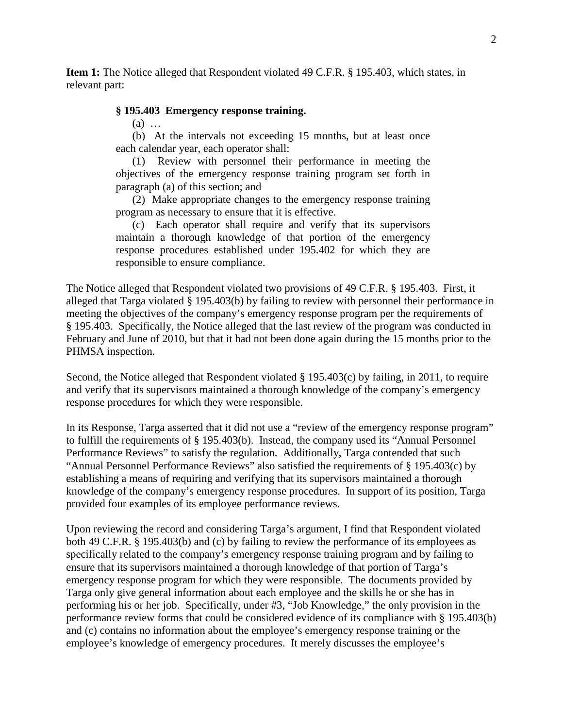**Item 1:** The Notice alleged that Respondent violated 49 C.F.R. § 195.403, which states, in relevant part:

#### **§ 195.403 Emergency response training.**

(a) …

(b) At the intervals not exceeding 15 months, but at least once each calendar year, each operator shall:

(1) Review with personnel their performance in meeting the objectives of the emergency response training program set forth in paragraph (a) of this section; and

(2) Make appropriate changes to the emergency response training program as necessary to ensure that it is effective.

(c) Each operator shall require and verify that its supervisors maintain a thorough knowledge of that portion of the emergency response procedures established under 195.402 for which they are responsible to ensure compliance.

The Notice alleged that Respondent violated two provisions of 49 C.F.R. § 195.403. First, it alleged that Targa violated § 195.403(b) by failing to review with personnel their performance in meeting the objectives of the company's emergency response program per the requirements of § 195.403. Specifically, the Notice alleged that the last review of the program was conducted in February and June of 2010, but that it had not been done again during the 15 months prior to the PHMSA inspection.

Second, the Notice alleged that Respondent violated § 195.403(c) by failing, in 2011, to require and verify that its supervisors maintained a thorough knowledge of the company's emergency response procedures for which they were responsible.

In its Response, Targa asserted that it did not use a "review of the emergency response program" to fulfill the requirements of § 195.403(b). Instead, the company used its "Annual Personnel Performance Reviews" to satisfy the regulation. Additionally, Targa contended that such "Annual Personnel Performance Reviews" also satisfied the requirements of § 195.403(c) by establishing a means of requiring and verifying that its supervisors maintained a thorough knowledge of the company's emergency response procedures. In support of its position, Targa provided four examples of its employee performance reviews.

Upon reviewing the record and considering Targa's argument, I find that Respondent violated both 49 C.F.R. § 195.403(b) and (c) by failing to review the performance of its employees as specifically related to the company's emergency response training program and by failing to ensure that its supervisors maintained a thorough knowledge of that portion of Targa's emergency response program for which they were responsible. The documents provided by Targa only give general information about each employee and the skills he or she has in performing his or her job. Specifically, under #3, "Job Knowledge," the only provision in the performance review forms that could be considered evidence of its compliance with § 195.403(b) and (c) contains no information about the employee's emergency response training or the employee's knowledge of emergency procedures. It merely discusses the employee's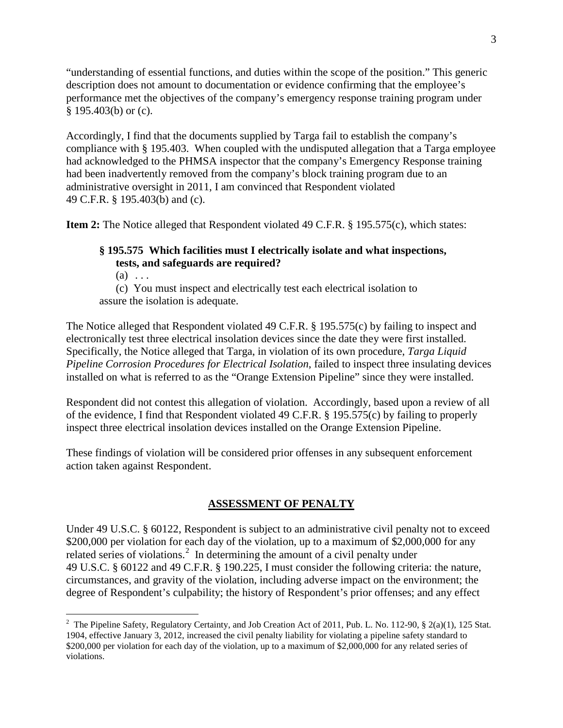"understanding of essential functions, and duties within the scope of the position." This generic description does not amount to documentation or evidence confirming that the employee's performance met the objectives of the company's emergency response training program under § 195.403(b) or (c).

Accordingly, I find that the documents supplied by Targa fail to establish the company's compliance with § 195.403. When coupled with the undisputed allegation that a Targa employee had acknowledged to the PHMSA inspector that the company's Emergency Response training had been inadvertently removed from the company's block training program due to an administrative oversight in 2011, I am convinced that Respondent violated 49 C.F.R. § 195.403(b) and (c).

**Item 2:** The Notice alleged that Respondent violated 49 C.F.R. § 195.575(c), which states:

## **§ 195.575 Which facilities must I electrically isolate and what inspections, tests, and safeguards are required?**

 $(a) \ldots$ 

 $\overline{a}$ 

(c) You must inspect and electrically test each electrical isolation to assure the isolation is adequate.

The Notice alleged that Respondent violated 49 C.F.R. § 195.575(c) by failing to inspect and electronically test three electrical insolation devices since the date they were first installed. Specifically, the Notice alleged that Targa, in violation of its own procedure, *Targa Liquid Pipeline Corrosion Procedures for Electrical Isolation*, failed to inspect three insulating devices installed on what is referred to as the "Orange Extension Pipeline" since they were installed.

Respondent did not contest this allegation of violation. Accordingly, based upon a review of all of the evidence, I find that Respondent violated 49 C.F.R. § 195.575(c) by failing to properly inspect three electrical insolation devices installed on the Orange Extension Pipeline.

These findings of violation will be considered prior offenses in any subsequent enforcement action taken against Respondent.

#### **ASSESSMENT OF PENALTY**

Under 49 U.S.C. § 60122, Respondent is subject to an administrative civil penalty not to exceed \$200,000 per violation for each day of the violation, up to a maximum of \$2,000,000 for any related series of violations.<sup>2</sup> In determining the amount of a civil penalty under 49 U.S.C. § 60122 and 49 C.F.R. § 190.225, I must consider the following criteria: the nature, circumstances, and gravity of the violation, including adverse impact on the environment; the degree of Respondent's culpability; the history of Respondent's prior offenses; and any effect

<sup>&</sup>lt;sup>2</sup> The Pipeline Safety, Regulatory Certainty, and Job Creation Act of 2011, Pub. L. No. 112-90, § 2(a)(1), 125 Stat. 1904, effective January 3, 2012, increased the civil penalty liability for violating a pipeline safety standard to \$200,000 per violation for each day of the violation, up to a maximum of \$2,000,000 for any related series of violations.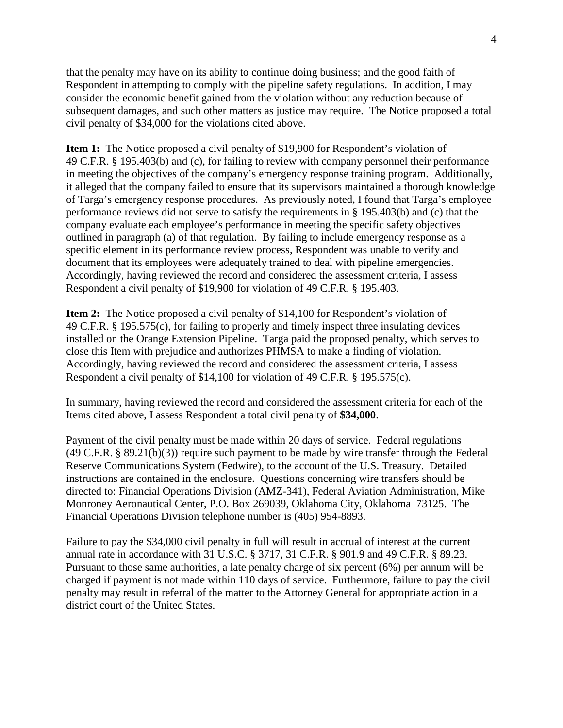that the penalty may have on its ability to continue doing business; and the good faith of Respondent in attempting to comply with the pipeline safety regulations. In addition, I may consider the economic benefit gained from the violation without any reduction because of subsequent damages, and such other matters as justice may require. The Notice proposed a total civil penalty of \$34,000 for the violations cited above.

**Item 1:** The Notice proposed a civil penalty of \$19,900 for Respondent's violation of 49 C.F.R. § 195.403(b) and (c), for failing to review with company personnel their performance in meeting the objectives of the company's emergency response training program. Additionally, it alleged that the company failed to ensure that its supervisors maintained a thorough knowledge of Targa's emergency response procedures. As previously noted, I found that Targa's employee performance reviews did not serve to satisfy the requirements in § 195.403(b) and (c) that the company evaluate each employee's performance in meeting the specific safety objectives outlined in paragraph (a) of that regulation. By failing to include emergency response as a specific element in its performance review process, Respondent was unable to verify and document that its employees were adequately trained to deal with pipeline emergencies. Accordingly, having reviewed the record and considered the assessment criteria, I assess Respondent a civil penalty of \$19,900 for violation of 49 C.F.R. § 195.403.

**Item 2:** The Notice proposed a civil penalty of \$14,100 for Respondent's violation of 49 C.F.R. § 195.575(c), for failing to properly and timely inspect three insulating devices installed on the Orange Extension Pipeline. Targa paid the proposed penalty, which serves to close this Item with prejudice and authorizes PHMSA to make a finding of violation. Accordingly, having reviewed the record and considered the assessment criteria, I assess Respondent a civil penalty of \$14,100 for violation of 49 C.F.R. § 195.575(c).

In summary, having reviewed the record and considered the assessment criteria for each of the Items cited above, I assess Respondent a total civil penalty of **\$34,000**.

Payment of the civil penalty must be made within 20 days of service. Federal regulations (49 C.F.R. § 89.21(b)(3)) require such payment to be made by wire transfer through the Federal Reserve Communications System (Fedwire), to the account of the U.S. Treasury. Detailed instructions are contained in the enclosure. Questions concerning wire transfers should be directed to: Financial Operations Division (AMZ-341), Federal Aviation Administration, Mike Monroney Aeronautical Center, P.O. Box 269039, Oklahoma City, Oklahoma 73125. The Financial Operations Division telephone number is (405) 954-8893.

Failure to pay the \$34,000 civil penalty in full will result in accrual of interest at the current annual rate in accordance with 31 U.S.C. § 3717, 31 C.F.R. § 901.9 and 49 C.F.R. § 89.23. Pursuant to those same authorities, a late penalty charge of six percent (6%) per annum will be charged if payment is not made within 110 days of service. Furthermore, failure to pay the civil penalty may result in referral of the matter to the Attorney General for appropriate action in a district court of the United States.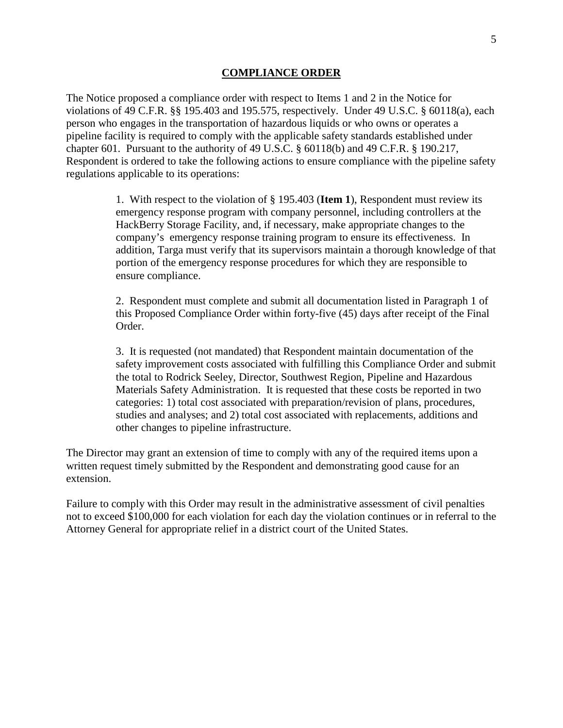#### **COMPLIANCE ORDER**

The Notice proposed a compliance order with respect to Items 1 and 2 in the Notice for violations of 49 C.F.R. §§ 195.403 and 195.575, respectively. Under 49 U.S.C. § 60118(a), each person who engages in the transportation of hazardous liquids or who owns or operates a pipeline facility is required to comply with the applicable safety standards established under chapter 601. Pursuant to the authority of 49 U.S.C. § 60118(b) and 49 C.F.R. § 190.217, Respondent is ordered to take the following actions to ensure compliance with the pipeline safety regulations applicable to its operations:

> 1. With respect to the violation of § 195.403 (**Item 1**), Respondent must review its emergency response program with company personnel, including controllers at the HackBerry Storage Facility, and, if necessary, make appropriate changes to the company's emergency response training program to ensure its effectiveness. In addition, Targa must verify that its supervisors maintain a thorough knowledge of that portion of the emergency response procedures for which they are responsible to ensure compliance.

2. Respondent must complete and submit all documentation listed in Paragraph 1 of this Proposed Compliance Order within forty-five (45) days after receipt of the Final Order.

3. It is requested (not mandated) that Respondent maintain documentation of the safety improvement costs associated with fulfilling this Compliance Order and submit the total to Rodrick Seeley, Director, Southwest Region, Pipeline and Hazardous Materials Safety Administration. It is requested that these costs be reported in two categories: 1) total cost associated with preparation/revision of plans, procedures, studies and analyses; and 2) total cost associated with replacements, additions and other changes to pipeline infrastructure.

The Director may grant an extension of time to comply with any of the required items upon a written request timely submitted by the Respondent and demonstrating good cause for an extension.

Failure to comply with this Order may result in the administrative assessment of civil penalties not to exceed \$100,000 for each violation for each day the violation continues or in referral to the Attorney General for appropriate relief in a district court of the United States.